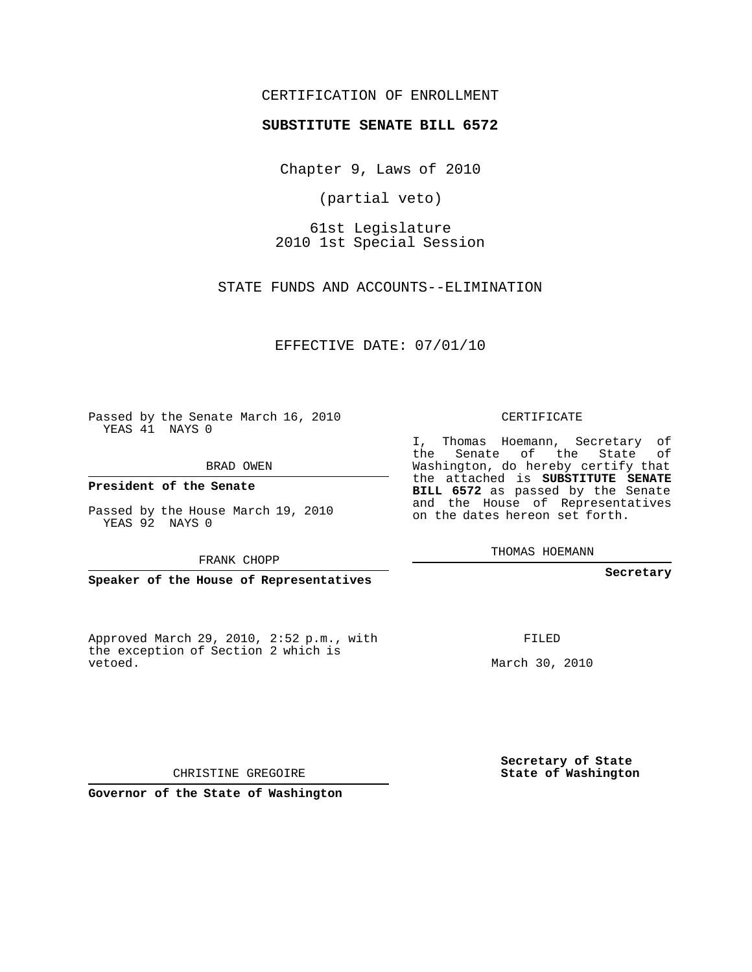#### CERTIFICATION OF ENROLLMENT

#### **SUBSTITUTE SENATE BILL 6572**

Chapter 9, Laws of 2010

(partial veto)

61st Legislature 2010 1st Special Session

STATE FUNDS AND ACCOUNTS--ELIMINATION

EFFECTIVE DATE: 07/01/10

Passed by the Senate March 16, 2010 YEAS 41 NAYS 0

BRAD OWEN

**President of the Senate**

Passed by the House March 19, 2010 YEAS 92 NAYS 0

FRANK CHOPP

**Speaker of the House of Representatives**

Approved March 29, 2010, 2:52 p.m., with the exception of Section 2 which is vetoed.

CERTIFICATE

I, Thomas Hoemann, Secretary of the Senate of the State of Washington, do hereby certify that the attached is **SUBSTITUTE SENATE BILL 6572** as passed by the Senate and the House of Representatives on the dates hereon set forth.

THOMAS HOEMANN

**Secretary**

FILED

March 30, 2010

**Secretary of State State of Washington**

CHRISTINE GREGOIRE

**Governor of the State of Washington**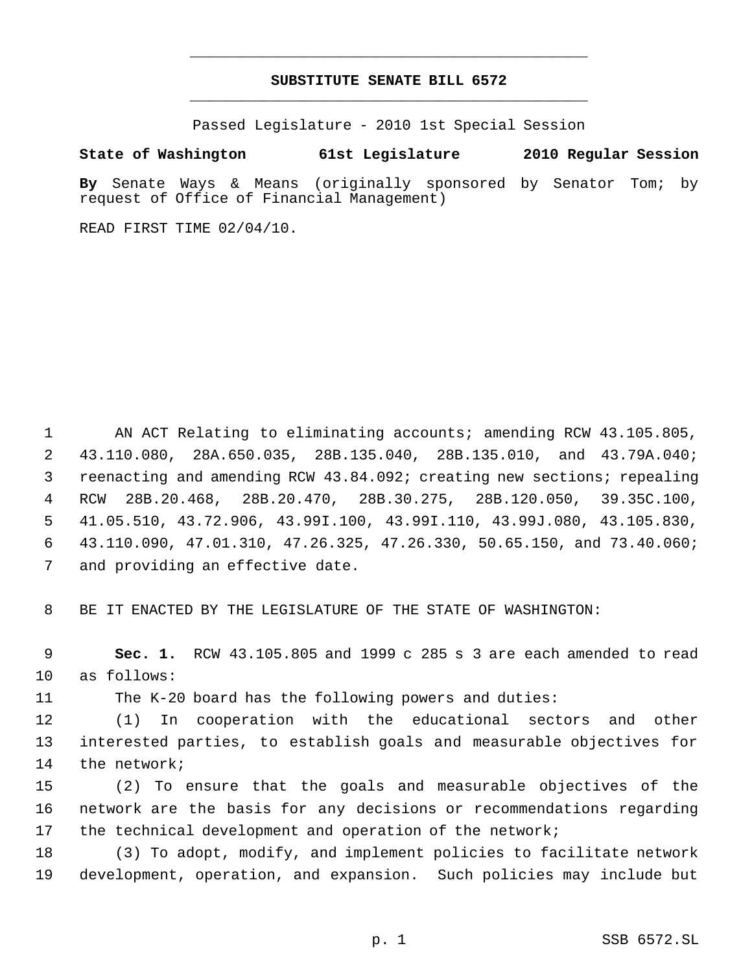## **SUBSTITUTE SENATE BILL 6572** \_\_\_\_\_\_\_\_\_\_\_\_\_\_\_\_\_\_\_\_\_\_\_\_\_\_\_\_\_\_\_\_\_\_\_\_\_\_\_\_\_\_\_\_\_

\_\_\_\_\_\_\_\_\_\_\_\_\_\_\_\_\_\_\_\_\_\_\_\_\_\_\_\_\_\_\_\_\_\_\_\_\_\_\_\_\_\_\_\_\_

Passed Legislature - 2010 1st Special Session

### **State of Washington 61st Legislature 2010 Regular Session**

**By** Senate Ways & Means (originally sponsored by Senator Tom; by request of Office of Financial Management)

READ FIRST TIME 02/04/10.

 AN ACT Relating to eliminating accounts; amending RCW 43.105.805, 43.110.080, 28A.650.035, 28B.135.040, 28B.135.010, and 43.79A.040; reenacting and amending RCW 43.84.092; creating new sections; repealing RCW 28B.20.468, 28B.20.470, 28B.30.275, 28B.120.050, 39.35C.100, 41.05.510, 43.72.906, 43.99I.100, 43.99I.110, 43.99J.080, 43.105.830, 43.110.090, 47.01.310, 47.26.325, 47.26.330, 50.65.150, and 73.40.060; and providing an effective date.

BE IT ENACTED BY THE LEGISLATURE OF THE STATE OF WASHINGTON:

 **Sec. 1.** RCW 43.105.805 and 1999 c 285 s 3 are each amended to read as follows:

The K-20 board has the following powers and duties:

 (1) In cooperation with the educational sectors and other interested parties, to establish goals and measurable objectives for the network;

 (2) To ensure that the goals and measurable objectives of the network are the basis for any decisions or recommendations regarding the technical development and operation of the network;

 (3) To adopt, modify, and implement policies to facilitate network development, operation, and expansion. Such policies may include but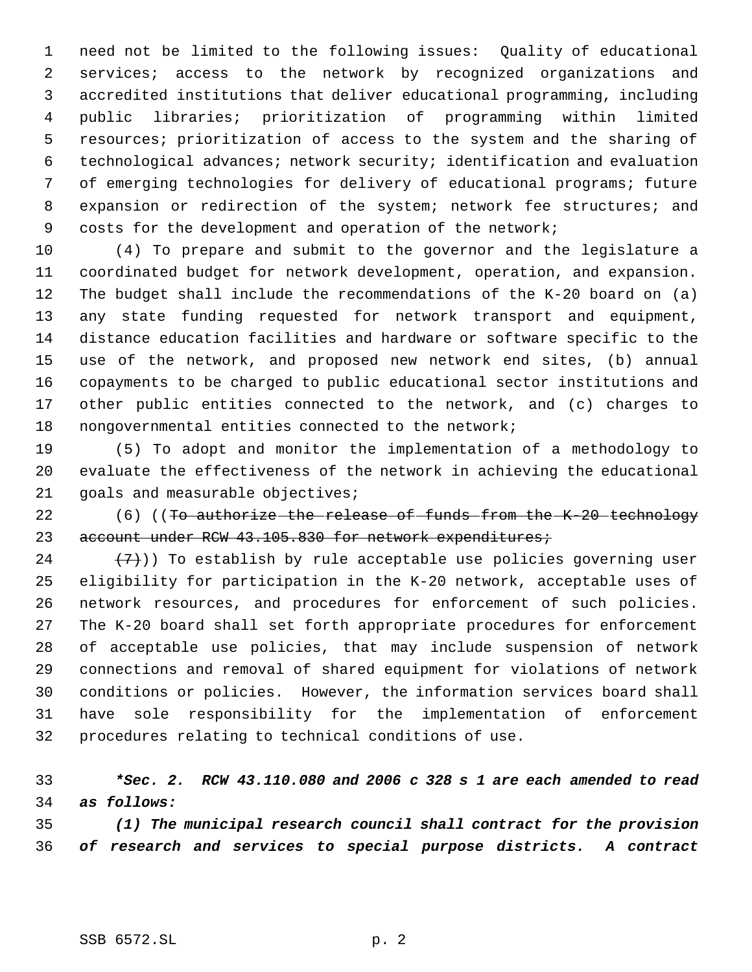need not be limited to the following issues: Quality of educational services; access to the network by recognized organizations and accredited institutions that deliver educational programming, including public libraries; prioritization of programming within limited resources; prioritization of access to the system and the sharing of technological advances; network security; identification and evaluation of emerging technologies for delivery of educational programs; future 8 expansion or redirection of the system; network fee structures; and costs for the development and operation of the network;

 (4) To prepare and submit to the governor and the legislature a coordinated budget for network development, operation, and expansion. The budget shall include the recommendations of the K-20 board on (a) any state funding requested for network transport and equipment, distance education facilities and hardware or software specific to the use of the network, and proposed new network end sites, (b) annual copayments to be charged to public educational sector institutions and other public entities connected to the network, and (c) charges to nongovernmental entities connected to the network;

 (5) To adopt and monitor the implementation of a methodology to evaluate the effectiveness of the network in achieving the educational 21 goals and measurable objectives;

22 (6) ((To authorize the release of funds from the K-20 technology 23 account under RCW 43.105.830 for network expenditures;

 $(7)$ )) To establish by rule acceptable use policies governing user eligibility for participation in the K-20 network, acceptable uses of network resources, and procedures for enforcement of such policies. The K-20 board shall set forth appropriate procedures for enforcement of acceptable use policies, that may include suspension of network connections and removal of shared equipment for violations of network conditions or policies. However, the information services board shall have sole responsibility for the implementation of enforcement procedures relating to technical conditions of use.

# *\*Sec. 2. RCW 43.110.080 and 2006 c 328 s 1 are each amended to read as follows:*

 *(1) The municipal research council shall contract for the provision of research and services to special purpose districts. A contract*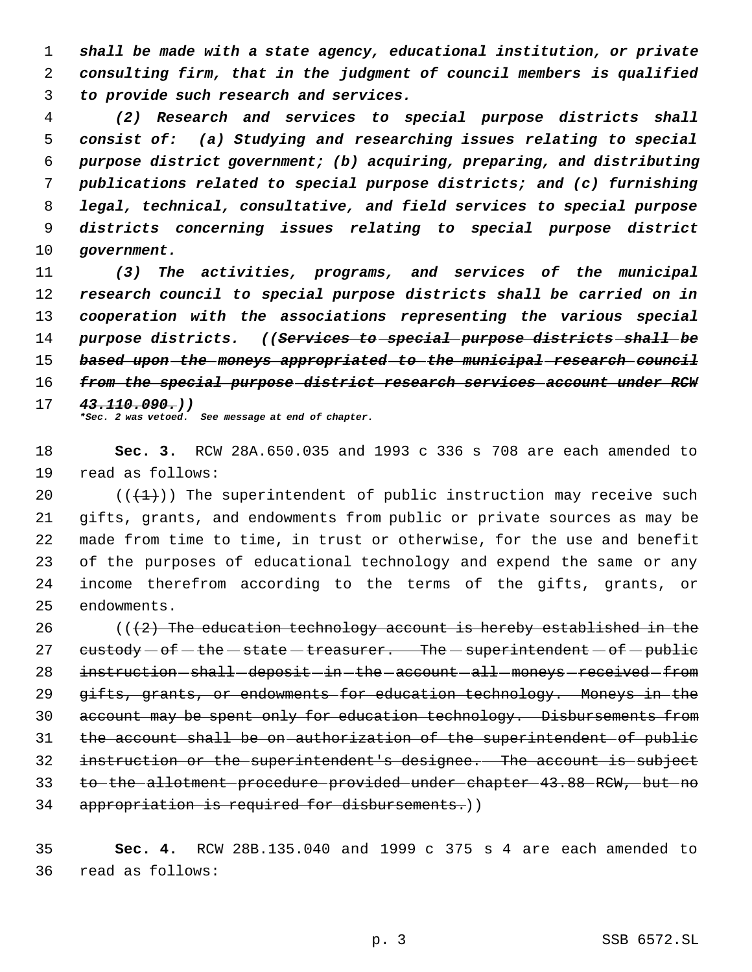*shall be made with a state agency, educational institution, or private consulting firm, that in the judgment of council members is qualified to provide such research and services.*

 *(2) Research and services to special purpose districts shall consist of: (a) Studying and researching issues relating to special purpose district government; (b) acquiring, preparing, and distributing publications related to special purpose districts; and (c) furnishing legal, technical, consultative, and field services to special purpose districts concerning issues relating to special purpose district government.*

 *(3) The activities, programs, and services of the municipal research council to special purpose districts shall be carried on in cooperation with the associations representing the various special purpose districts. ((Services to special purpose districts shall be based upon the moneys appropriated to the municipal research council from the special purpose district research services account under RCW 43.110.090.)) \*Sec. 2 was vetoed. See message at end of chapter.*

 **Sec. 3.** RCW 28A.650.035 and 1993 c 336 s 708 are each amended to read as follows:

 $((+1))$  The superintendent of public instruction may receive such gifts, grants, and endowments from public or private sources as may be made from time to time, in trust or otherwise, for the use and benefit of the purposes of educational technology and expend the same or any income therefrom according to the terms of the gifts, grants, or endowments.

26 ( $(42)$  The education technology account is hereby established in the  $e$ ustody  $-$  of  $-$  the  $-$  state  $-$  treasurer. The  $-$  superintendent  $-$  of  $-$  public 28 instruction shall deposit in the account all moneys received from gifts, grants, or endowments for education technology. Moneys in the 30 account may be spent only for education technology. Disbursements from the account shall be on authorization of the superintendent of public instruction or the superintendent's designee. The account is subject to the allotment procedure provided under chapter 43.88 RCW, but no appropriation is required for disbursements.))

 **Sec. 4.** RCW 28B.135.040 and 1999 c 375 s 4 are each amended to read as follows: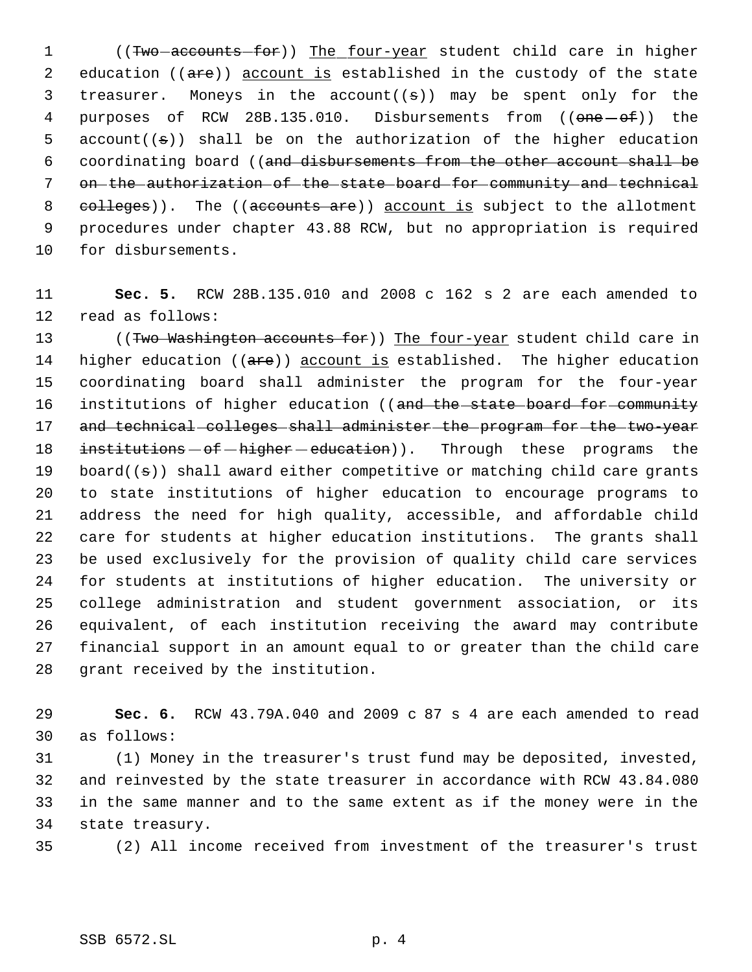1 ((Two accounts for)) The four-year student child care in higher 2 education ((are)) account is established in the custody of the state 3 treasurer. Moneys in the account( $(s)$ ) may be spent only for the 4 purposes of RCW 28B.135.010. Disbursements from (( $\overline{one}-\overline{of}$ )) the 5 account $((s))$  shall be on the authorization of the higher education coordinating board ((and disbursements from the other account shall be on the authorization of the state board for community and technical 8 colleges)). The ((accounts are)) account is subject to the allotment procedures under chapter 43.88 RCW, but no appropriation is required for disbursements.

 **Sec. 5.** RCW 28B.135.010 and 2008 c 162 s 2 are each amended to read as follows:

13 ((Two Washington accounts for)) The four-year student child care in 14 higher education ((are)) account is established. The higher education coordinating board shall administer the program for the four-year 16 institutions of higher education ((and the state board for community 17 and technical colleges shall administer the program for the two-year 18 institutions  $-$  of  $-$  higher  $-$  education)). Through these programs the 19 board( $(\theta)$ ) shall award either competitive or matching child care grants to state institutions of higher education to encourage programs to address the need for high quality, accessible, and affordable child care for students at higher education institutions. The grants shall be used exclusively for the provision of quality child care services for students at institutions of higher education. The university or college administration and student government association, or its equivalent, of each institution receiving the award may contribute financial support in an amount equal to or greater than the child care grant received by the institution.

 **Sec. 6.** RCW 43.79A.040 and 2009 c 87 s 4 are each amended to read as follows:

 (1) Money in the treasurer's trust fund may be deposited, invested, and reinvested by the state treasurer in accordance with RCW 43.84.080 in the same manner and to the same extent as if the money were in the state treasury.

(2) All income received from investment of the treasurer's trust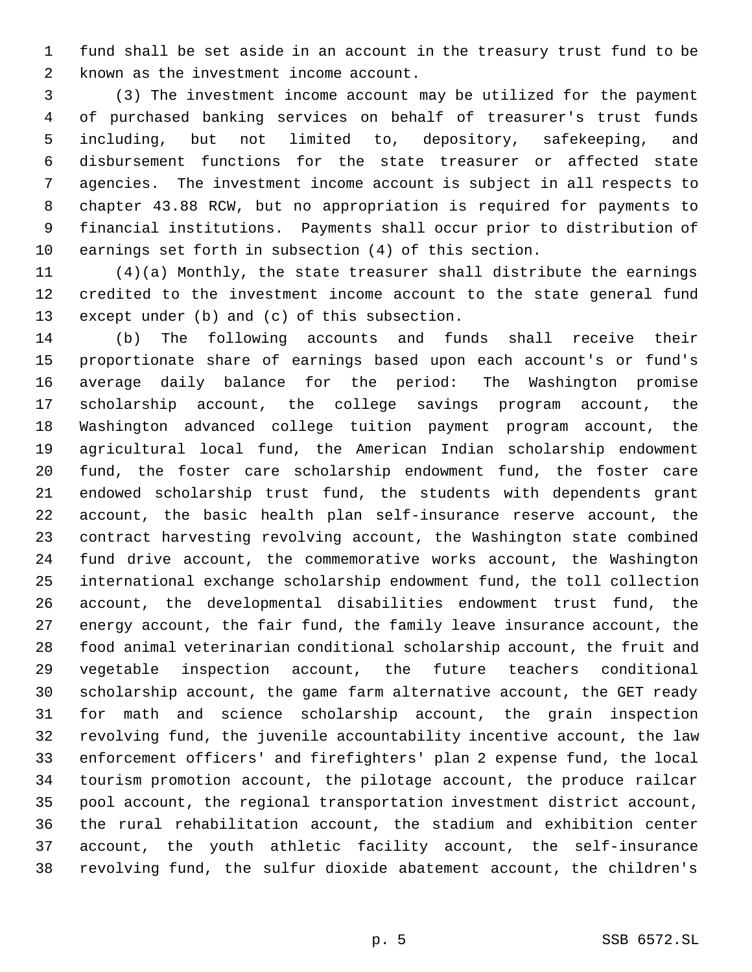fund shall be set aside in an account in the treasury trust fund to be known as the investment income account.

 (3) The investment income account may be utilized for the payment of purchased banking services on behalf of treasurer's trust funds including, but not limited to, depository, safekeeping, and disbursement functions for the state treasurer or affected state agencies. The investment income account is subject in all respects to chapter 43.88 RCW, but no appropriation is required for payments to financial institutions. Payments shall occur prior to distribution of earnings set forth in subsection (4) of this section.

 (4)(a) Monthly, the state treasurer shall distribute the earnings credited to the investment income account to the state general fund except under (b) and (c) of this subsection.

 (b) The following accounts and funds shall receive their proportionate share of earnings based upon each account's or fund's average daily balance for the period: The Washington promise scholarship account, the college savings program account, the Washington advanced college tuition payment program account, the agricultural local fund, the American Indian scholarship endowment fund, the foster care scholarship endowment fund, the foster care endowed scholarship trust fund, the students with dependents grant account, the basic health plan self-insurance reserve account, the contract harvesting revolving account, the Washington state combined fund drive account, the commemorative works account, the Washington international exchange scholarship endowment fund, the toll collection account, the developmental disabilities endowment trust fund, the energy account, the fair fund, the family leave insurance account, the food animal veterinarian conditional scholarship account, the fruit and vegetable inspection account, the future teachers conditional scholarship account, the game farm alternative account, the GET ready for math and science scholarship account, the grain inspection revolving fund, the juvenile accountability incentive account, the law enforcement officers' and firefighters' plan 2 expense fund, the local tourism promotion account, the pilotage account, the produce railcar pool account, the regional transportation investment district account, the rural rehabilitation account, the stadium and exhibition center account, the youth athletic facility account, the self-insurance revolving fund, the sulfur dioxide abatement account, the children's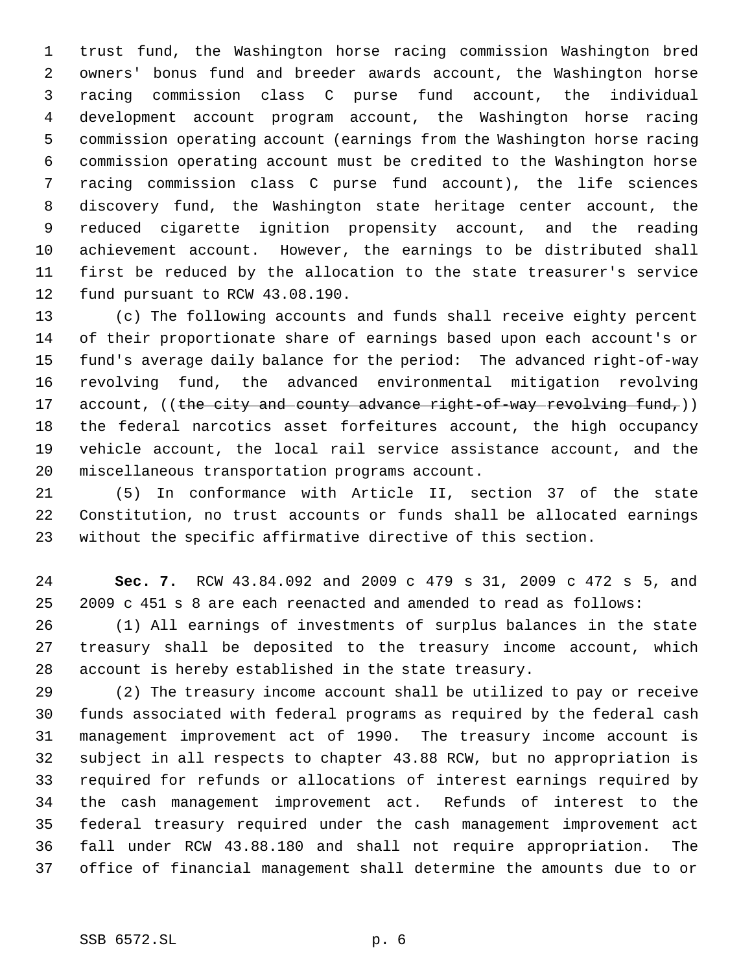trust fund, the Washington horse racing commission Washington bred owners' bonus fund and breeder awards account, the Washington horse racing commission class C purse fund account, the individual development account program account, the Washington horse racing commission operating account (earnings from the Washington horse racing commission operating account must be credited to the Washington horse racing commission class C purse fund account), the life sciences discovery fund, the Washington state heritage center account, the reduced cigarette ignition propensity account, and the reading achievement account. However, the earnings to be distributed shall first be reduced by the allocation to the state treasurer's service fund pursuant to RCW 43.08.190.

 (c) The following accounts and funds shall receive eighty percent of their proportionate share of earnings based upon each account's or fund's average daily balance for the period: The advanced right-of-way revolving fund, the advanced environmental mitigation revolving 17 account,  $((the city and country advance right-of-way revolving fund<sub>r</sub>))$  the federal narcotics asset forfeitures account, the high occupancy vehicle account, the local rail service assistance account, and the miscellaneous transportation programs account.

 (5) In conformance with Article II, section 37 of the state Constitution, no trust accounts or funds shall be allocated earnings without the specific affirmative directive of this section.

 **Sec. 7.** RCW 43.84.092 and 2009 c 479 s 31, 2009 c 472 s 5, and 2009 c 451 s 8 are each reenacted and amended to read as follows:

 (1) All earnings of investments of surplus balances in the state treasury shall be deposited to the treasury income account, which account is hereby established in the state treasury.

 (2) The treasury income account shall be utilized to pay or receive funds associated with federal programs as required by the federal cash management improvement act of 1990. The treasury income account is subject in all respects to chapter 43.88 RCW, but no appropriation is required for refunds or allocations of interest earnings required by the cash management improvement act. Refunds of interest to the federal treasury required under the cash management improvement act fall under RCW 43.88.180 and shall not require appropriation. The office of financial management shall determine the amounts due to or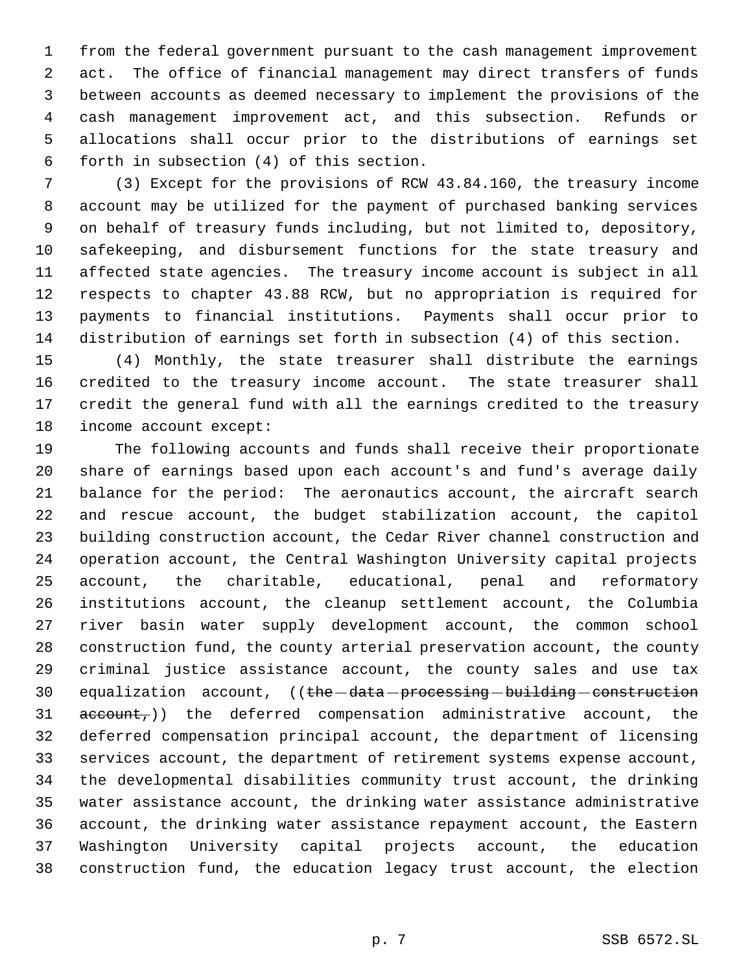from the federal government pursuant to the cash management improvement act. The office of financial management may direct transfers of funds between accounts as deemed necessary to implement the provisions of the cash management improvement act, and this subsection. Refunds or allocations shall occur prior to the distributions of earnings set forth in subsection (4) of this section.

 (3) Except for the provisions of RCW 43.84.160, the treasury income account may be utilized for the payment of purchased banking services on behalf of treasury funds including, but not limited to, depository, safekeeping, and disbursement functions for the state treasury and affected state agencies. The treasury income account is subject in all respects to chapter 43.88 RCW, but no appropriation is required for payments to financial institutions. Payments shall occur prior to distribution of earnings set forth in subsection (4) of this section.

 (4) Monthly, the state treasurer shall distribute the earnings credited to the treasury income account. The state treasurer shall credit the general fund with all the earnings credited to the treasury income account except:

 The following accounts and funds shall receive their proportionate share of earnings based upon each account's and fund's average daily balance for the period: The aeronautics account, the aircraft search and rescue account, the budget stabilization account, the capitol building construction account, the Cedar River channel construction and operation account, the Central Washington University capital projects account, the charitable, educational, penal and reformatory institutions account, the cleanup settlement account, the Columbia river basin water supply development account, the common school construction fund, the county arterial preservation account, the county criminal justice assistance account, the county sales and use tax 30 equalization account, ((the data processing building construction  $\alpha$  account, the deferred compensation administrative account, the deferred compensation principal account, the department of licensing services account, the department of retirement systems expense account, the developmental disabilities community trust account, the drinking water assistance account, the drinking water assistance administrative account, the drinking water assistance repayment account, the Eastern Washington University capital projects account, the education construction fund, the education legacy trust account, the election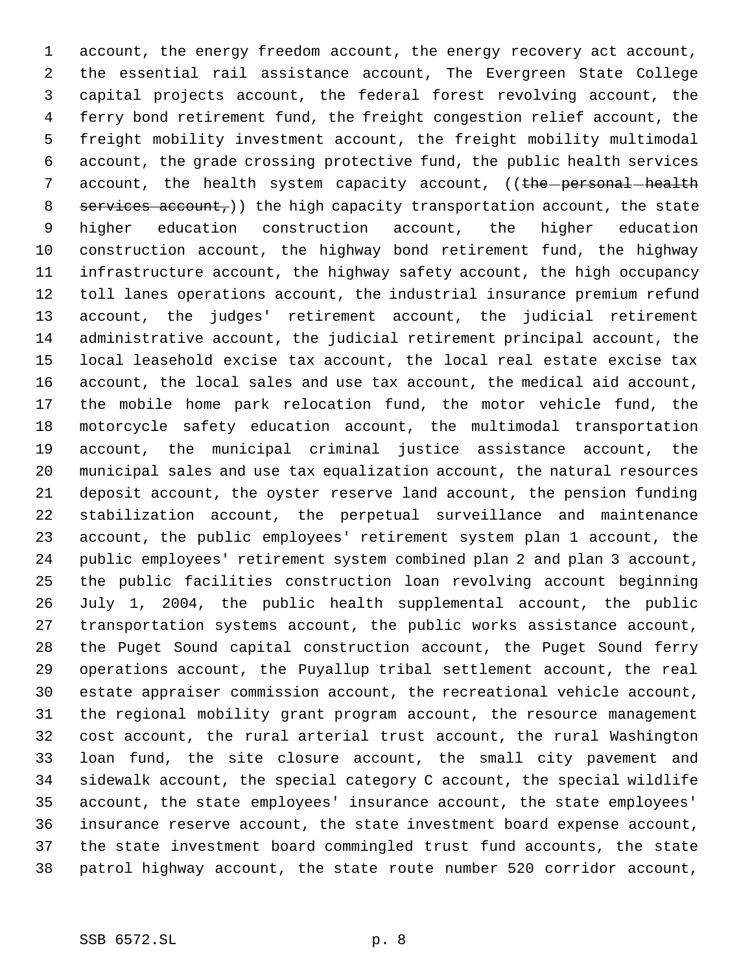account, the energy freedom account, the energy recovery act account, the essential rail assistance account, The Evergreen State College capital projects account, the federal forest revolving account, the ferry bond retirement fund, the freight congestion relief account, the freight mobility investment account, the freight mobility multimodal account, the grade crossing protective fund, the public health services 7 account, the health system capacity account, ((the personal health 8 services account,)) the high capacity transportation account, the state higher education construction account, the higher education construction account, the highway bond retirement fund, the highway infrastructure account, the highway safety account, the high occupancy toll lanes operations account, the industrial insurance premium refund account, the judges' retirement account, the judicial retirement administrative account, the judicial retirement principal account, the local leasehold excise tax account, the local real estate excise tax account, the local sales and use tax account, the medical aid account, the mobile home park relocation fund, the motor vehicle fund, the motorcycle safety education account, the multimodal transportation account, the municipal criminal justice assistance account, the municipal sales and use tax equalization account, the natural resources deposit account, the oyster reserve land account, the pension funding stabilization account, the perpetual surveillance and maintenance account, the public employees' retirement system plan 1 account, the public employees' retirement system combined plan 2 and plan 3 account, the public facilities construction loan revolving account beginning July 1, 2004, the public health supplemental account, the public transportation systems account, the public works assistance account, the Puget Sound capital construction account, the Puget Sound ferry operations account, the Puyallup tribal settlement account, the real estate appraiser commission account, the recreational vehicle account, the regional mobility grant program account, the resource management cost account, the rural arterial trust account, the rural Washington loan fund, the site closure account, the small city pavement and sidewalk account, the special category C account, the special wildlife account, the state employees' insurance account, the state employees' insurance reserve account, the state investment board expense account, the state investment board commingled trust fund accounts, the state patrol highway account, the state route number 520 corridor account,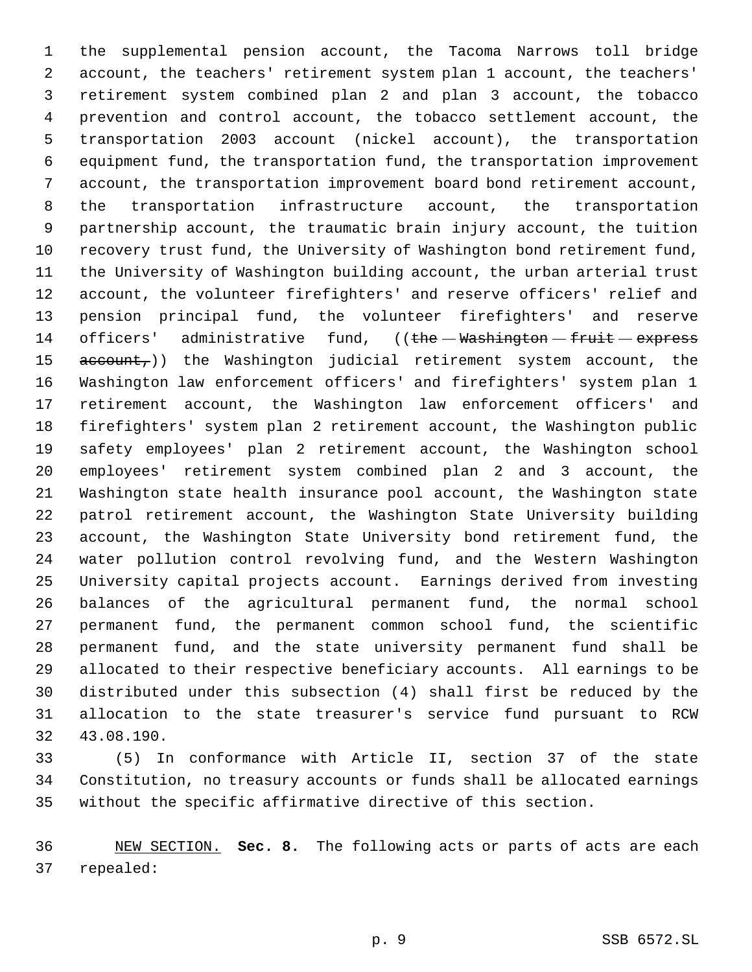the supplemental pension account, the Tacoma Narrows toll bridge account, the teachers' retirement system plan 1 account, the teachers' retirement system combined plan 2 and plan 3 account, the tobacco prevention and control account, the tobacco settlement account, the transportation 2003 account (nickel account), the transportation equipment fund, the transportation fund, the transportation improvement account, the transportation improvement board bond retirement account, the transportation infrastructure account, the transportation partnership account, the traumatic brain injury account, the tuition recovery trust fund, the University of Washington bond retirement fund, the University of Washington building account, the urban arterial trust account, the volunteer firefighters' and reserve officers' relief and pension principal fund, the volunteer firefighters' and reserve 14 officers' administrative fund,  $($  ( $t$ he  $-$  Washington  $-$  fruit  $-$  express 15 account,)) the Washington judicial retirement system account, the Washington law enforcement officers' and firefighters' system plan 1 retirement account, the Washington law enforcement officers' and firefighters' system plan 2 retirement account, the Washington public safety employees' plan 2 retirement account, the Washington school employees' retirement system combined plan 2 and 3 account, the Washington state health insurance pool account, the Washington state patrol retirement account, the Washington State University building account, the Washington State University bond retirement fund, the water pollution control revolving fund, and the Western Washington University capital projects account. Earnings derived from investing balances of the agricultural permanent fund, the normal school permanent fund, the permanent common school fund, the scientific permanent fund, and the state university permanent fund shall be allocated to their respective beneficiary accounts. All earnings to be distributed under this subsection (4) shall first be reduced by the allocation to the state treasurer's service fund pursuant to RCW 43.08.190.

 (5) In conformance with Article II, section 37 of the state Constitution, no treasury accounts or funds shall be allocated earnings without the specific affirmative directive of this section.

 NEW SECTION. **Sec. 8.** The following acts or parts of acts are each repealed: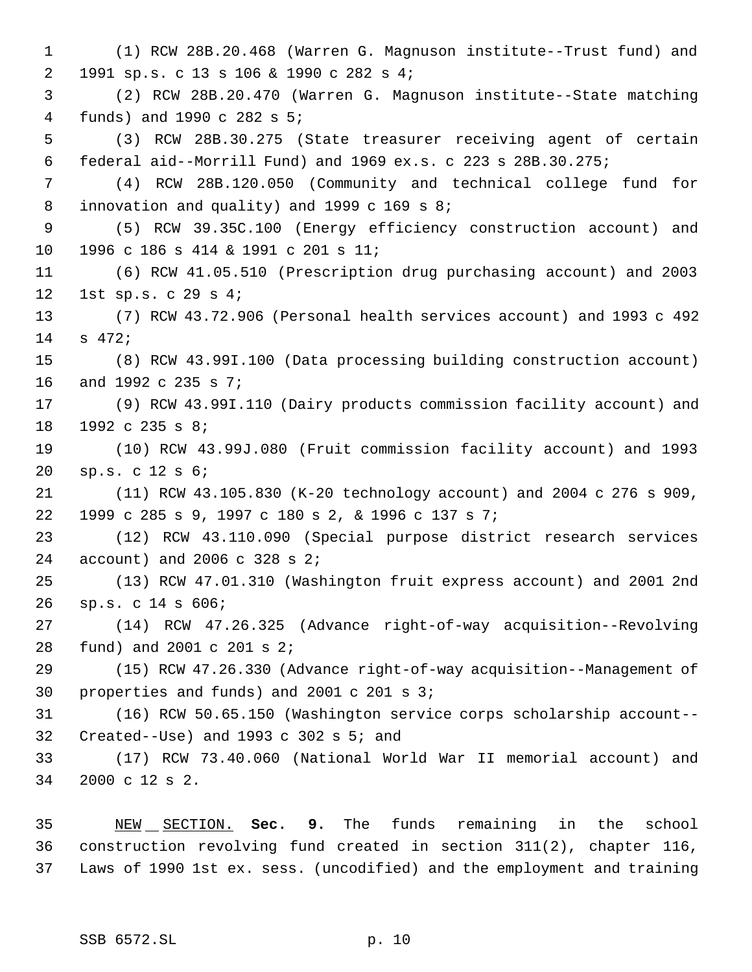(1) RCW 28B.20.468 (Warren G. Magnuson institute--Trust fund) and 1991 sp.s. c 13 s 106 & 1990 c 282 s 4; (2) RCW 28B.20.470 (Warren G. Magnuson institute--State matching funds) and 1990 c 282 s 5; (3) RCW 28B.30.275 (State treasurer receiving agent of certain federal aid--Morrill Fund) and 1969 ex.s. c 223 s 28B.30.275; (4) RCW 28B.120.050 (Community and technical college fund for innovation and quality) and 1999 c 169 s 8; (5) RCW 39.35C.100 (Energy efficiency construction account) and 1996 c 186 s 414 & 1991 c 201 s 11; (6) RCW 41.05.510 (Prescription drug purchasing account) and 2003 1st sp.s. c 29 s 4; (7) RCW 43.72.906 (Personal health services account) and 1993 c 492 s 472; (8) RCW 43.99I.100 (Data processing building construction account) and 1992 c 235 s 7; (9) RCW 43.99I.110 (Dairy products commission facility account) and 1992 c 235 s 8; (10) RCW 43.99J.080 (Fruit commission facility account) and 1993 sp.s. c 12 s 6; (11) RCW 43.105.830 (K-20 technology account) and 2004 c 276 s 909, 1999 c 285 s 9, 1997 c 180 s 2, & 1996 c 137 s 7; (12) RCW 43.110.090 (Special purpose district research services account) and 2006 c 328 s 2; (13) RCW 47.01.310 (Washington fruit express account) and 2001 2nd sp.s. c 14 s 606; (14) RCW 47.26.325 (Advance right-of-way acquisition--Revolving fund) and 2001 c 201 s 2; (15) RCW 47.26.330 (Advance right-of-way acquisition--Management of properties and funds) and 2001 c 201 s 3; (16) RCW 50.65.150 (Washington service corps scholarship account-- Created--Use) and 1993 c 302 s 5; and (17) RCW 73.40.060 (National World War II memorial account) and 2000 c 12 s 2. NEW SECTION. **Sec. 9.** The funds remaining in the school

 construction revolving fund created in section 311(2), chapter 116, Laws of 1990 1st ex. sess. (uncodified) and the employment and training